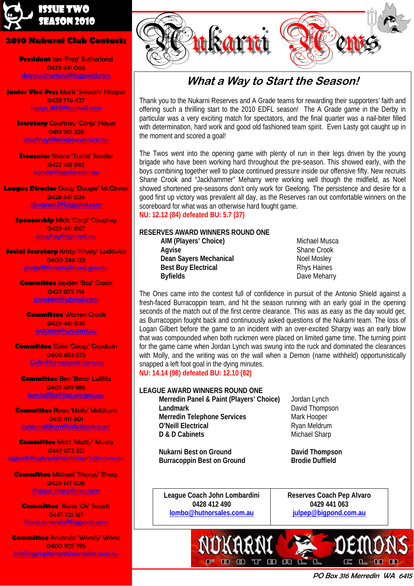

#### **2010 Nukarni Club Contacts**

**President** Ian 'Frog' Sutherland 0429 441 066 dainasutherland@bigpond.com

**Junior Vice Pres** Mark 'Smooth' Hooper 0428 776 427 hoops\_803@hotmail.com

**Secretary Courtney 'Corgs' Hayes** 0419 915 328 courtney@farmpower.com.au

**Treasurer** Shane 'Turtle' Sander 0427 415 992 ssander@agvise.com.au

**League Director** Doug 'Dougie' McGinniss 0428 441 024 dougness3@bigpond.com

**Sponsorship** Mick 'Corgi' Caughey 0429 441 067 caughey@agn.net.au

**Social Secretary** Kristy 'Krusty' Ludovico 0400 246 123 project1@merredin.wa.gov.au

> **Committee** Jayden 'Boz' Crook 0427 072 714 jcrook86@hotmail.com

**Committee** Warren Crook 0429 441 035 wdcrook@wn.com.au

**Committee** Colin 'Googs' Goodwin 0400 853 575 Colin@farmpower.com.au

**Committee** Ben 'Beno' Lullfitz 0407 489 886 ben.lullfitz@dec.wa.gov.au

**Committee** Ryan 'Molly' Meldrum 0419 917 801 ryan.meldrum@rabobank.com

**Committee Matt 'Matty' Musca** 0447 073 321 agparts@agimplementsmerredin.com.au

**Committee** Michael 'Sharpy' Sharp 0429 147 026 sharpy\_sharp@msn.com

**Committee** Kane 'Ox' Swarts 0447 721 167 Kane.amanda@bigpond.com

**Committee** Amanda 'Woody' Wood 0400 925 785 info@agimplementsmerredin.com.au



## **What a Way to Start the Season!**

Thank you to the Nukarni Reserves and A Grade teams for rewarding their supporters' faith and offering such a thrilling start to the 2010 EDFL season! The A Grade game in the Derby in particular was a very exciting match for spectators, and the final quarter was a nail-biter filled with determination, hard work and good old fashioned team spirit. Even Lasty got caught up in the moment and scored a goal!

The Twos went into the opening game with plenty of run in their legs driven by the young brigade who have been working hard throughout the pre-season. This showed early, with the boys combining together well to place continued pressure inside our offensive fifty. New recruits Shane Crook and "Jackhammer" Meharry were working well though the midfield, as Noel showed shortened pre-seasons don't only work for Geelong. The persistence and desire for a good first up victory was prevalent all day, as the Reserves ran out comfortable winners on the scoreboard for what was an otherwise hard fought game.

**NU: 12.12 (84) defeated BU: 5.7 (37)** 

#### **RESERVES AWARD WINNERS ROUND ONE**

**AIM (Players' Choice) Michael Musca Agvise Agvise Shane Crook Dean Sayers Mechanical**  Noel Mosley **Best Buy Electrical Rhys Haines Byfields Dave Meharry** 

The Ones came into the contest full of confidence in pursuit of the Antonio Shield against a fresh-faced Burracoppin team, and hit the season running with an early goal in the opening seconds of the match out of the first centre clearance. This was as easy as the day would get, as Burracoppin fought back and continuously asked questions of the Nukarni team. The loss of Logan Gilbert before the game to an incident with an over-excited Sharpy was an early blow that was compounded when both ruckmen were placed on limited game time. The turning point for the game came when Jordan Lynch was swung into the ruck and dominated the clearances with Molly, and the writing was on the wall when a Demon (name withheld) opportunistically snapped a left foot goal in the dying minutes. **NU: 14.14 (98) defeated BU: 12.10 (82)** 

 $E$ 

Œ

#### **LEAGUE AWARD WINNERS ROUND ONE**

**Merredin Panel & Paint (Players' Choice)** Jordan Lynch **Landmark David Thompson Merredin Telephone Services** Mark Hooper **O'Neill Electrical Ryan Meldrum D & D Cabinets Michael Sharp** 

**Nukarni Best on Ground Communisty Communisty David Thompson Burracoppin Best on Ground Brodie Duffield Brodie Duffield** 

**League Coach John Lombardini 0428 412 490 lombo@hutnorsales.com.au**

**Reserves Coach Pep Alvaro 0429 441 063 julpep@bigpond.com.au**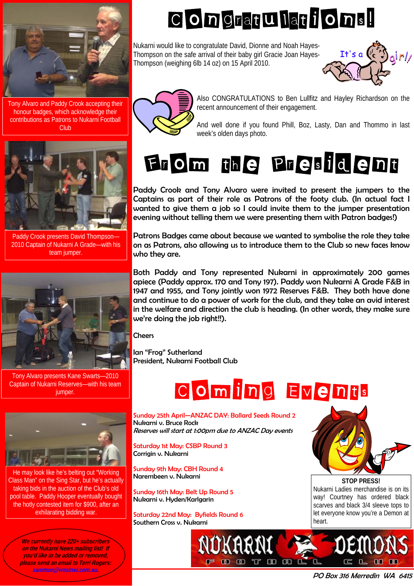

Tony Alvaro and Paddy Crook accepting their honour badges, which acknowledge their contributions as Patrons to Nukarni Football Club



Paddy Crook presents David Thompson— 2010 Captain of Nukarni A Grade—with his team jumper.



Tony Alvaro presents Kane Swarts—2010 Captain of Nukarni Reserves—with his team jumper.



He may look like he's belting out "Working Class Man" on the Sing Star, but he's actually taking bids in the auction of the Club's old pool table. Paddy Hooper eventually bought the hotly contested item for \$900, after an exhilarating bidding war.

**We currently have 220+ subscribers on the Nukarni News mailing list! If you'd like to be added or removed, please send an email to Terri Rogers: sammon@westnet.com.au.** 

# COngratulations!

Nukarni would like to congratulate David, Dionne and Noah Hayes-Thompson on the safe arrival of their baby girl Gracie Joan Hayes-Thompson (weighing 6lb 14 oz) on 15 April 2010.





Also CONGRATULATIONS to Ben Lullfitz and Hayley Richardson on the recent announcement of their engagement.

And well done if you found Phill, Boz, Lasty, Dan and Thommo in last week's olden days photo.

# From the President

Paddy Crook and Tony Alvaro were invited to present the jumpers to the Captains as part of their role as Patrons of the footy club. (In actual fact I wanted to give them a job so I could invite them to the jumper presentation evening without telling them we were presenting them with Patron badges!)

Patrons Badges came about because we wanted to symbolise the role they take on as Patrons, also allowing us to introduce them to the Club so new faces know who they are.

Both Paddy and Tony represented Nukarni in approximately 200 games apiece (Paddy approx. 170 and Tony 197). Paddy won Nukarni A Grade F&B in 1947 and 1955, and Tony jointly won 1972 Reserves F&B. They both have done and continue to do a power of work for the club, and they take an avid interest in the welfare and direction the club is heading. (In other words, they make sure we're doing the job right!!).

**Cheers** 

Ian "Frog" Sutherland President, Nukarni Football Club

# COming Events

 $B$  $R$ 

Sunday 25th April—ANZAC DAY: Ballard Seeds Round 2 Nukarni v. Bruce Rock Reserves will start at 1:00pm due to ANZAC Day events

Saturday 1st May: CSBP Round 3 Corrigin v. Nukarni

Sunday 9th May: CBH Round 4 Narembeen v. Nukarni

Sunday 16th May: Belt Up Round 5 Nukarni v. Hyden/Karlgarin

Saturday 22nd May: Byfields Round 6 Southern Cross v. Nukarni



**STOP PRESS!**  Nukarni Ladies merchandise is on its way! Courtney has ordered black scarves and black 3/4 sleeve tops to let everyone know you're a Demon at heart.

PO Box 316 Merredin WA 6415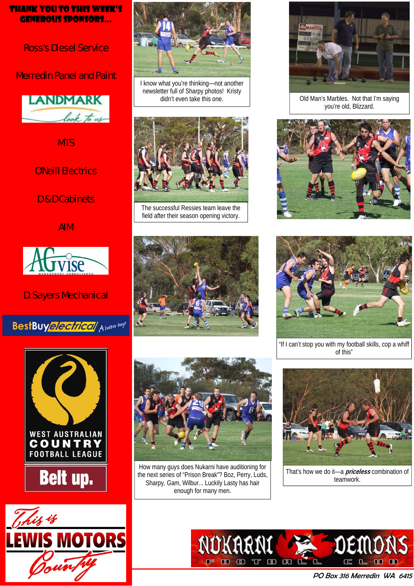### Thank you to this week's generous sponsors...

Ross's Diesel Service

## Merredin Panel and Paint



**MTS** 

## O'Neill Electrics

D & D Cabinets

AIM



## D. Sayers Mechanical









I know what you're thinking—not another newsletter full of Sharpy photos! Kristy didn't even take this one.



The successful Ressies team leave the field after their season opening victory.





How many guys does Nukarni have auditioning for the next series of "Prison Break"? Boz, Perry, Luds, Sharpy, Gam, Wilbur... Luckily Lasty has hair enough for many men.



Old Man's Marbles. Not that I'm saying you're old, Blizzard.





"If I can't stop you with my football skills, cop a whiff of this"



That's how we do it—a **priceless** combination of teamwork.

PO Box 316 Merredin WA 6415